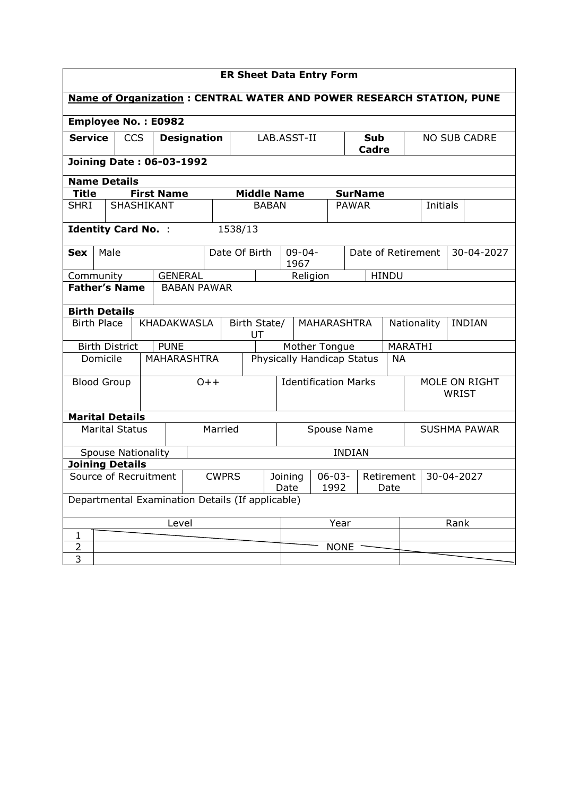| <b>ER Sheet Data Entry Form</b>                                             |                           |            |  |                                                  |  |         |                                   |              |                     |      |                    |                              |                          |                     |  |          |  |  |
|-----------------------------------------------------------------------------|---------------------------|------------|--|--------------------------------------------------|--|---------|-----------------------------------|--------------|---------------------|------|--------------------|------------------------------|--------------------------|---------------------|--|----------|--|--|
| <b>Name of Organization: CENTRAL WATER AND POWER RESEARCH STATION, PUNE</b> |                           |            |  |                                                  |  |         |                                   |              |                     |      |                    |                              |                          |                     |  |          |  |  |
| <b>Employee No.: E0982</b>                                                  |                           |            |  |                                                  |  |         |                                   |              |                     |      |                    |                              |                          |                     |  |          |  |  |
| <b>Service</b>                                                              |                           | <b>CCS</b> |  | <b>Designation</b>                               |  |         | LAB.ASST-II                       |              |                     |      | Sub<br>Cadre       |                              |                          | <b>NO SUB CADRE</b> |  |          |  |  |
| <b>Joining Date: 06-03-1992</b>                                             |                           |            |  |                                                  |  |         |                                   |              |                     |      |                    |                              |                          |                     |  |          |  |  |
| <b>Name Details</b>                                                         |                           |            |  |                                                  |  |         |                                   |              |                     |      |                    |                              |                          |                     |  |          |  |  |
| <b>Title</b>                                                                |                           |            |  | <b>First Name</b>                                |  |         | <b>Middle Name</b>                |              |                     |      |                    |                              | <b>SurName</b>           |                     |  |          |  |  |
| <b>SHRI</b>                                                                 |                           | SHASHIKANT |  |                                                  |  |         |                                   | <b>BABAN</b> |                     |      |                    | <b>PAWAR</b>                 |                          |                     |  | Initials |  |  |
| <b>Identity Card No. :</b>                                                  |                           |            |  |                                                  |  |         | 1538/13                           |              |                     |      |                    |                              |                          |                     |  |          |  |  |
| <b>Sex</b>                                                                  | Male                      |            |  | Date Of Birth                                    |  |         | $09 - 04 -$<br>1967               |              |                     |      | Date of Retirement |                              | 30-04-2027               |                     |  |          |  |  |
| <b>GENERAL</b><br>Community                                                 |                           |            |  |                                                  |  |         |                                   | Religion     |                     |      |                    | <b>HINDU</b>                 |                          |                     |  |          |  |  |
| <b>Father's Name</b>                                                        |                           |            |  | <b>BABAN PAWAR</b>                               |  |         |                                   |              |                     |      |                    |                              |                          |                     |  |          |  |  |
| <b>Birth Details</b>                                                        |                           |            |  |                                                  |  |         |                                   |              |                     |      |                    |                              |                          |                     |  |          |  |  |
|                                                                             | <b>Birth Place</b>        |            |  | <b>KHADAKWASLA</b>                               |  |         | Birth State/<br>MAHARASHTRA<br>UT |              |                     |      |                    | <b>INDIAN</b><br>Nationality |                          |                     |  |          |  |  |
|                                                                             | <b>Birth District</b>     |            |  | <b>PUNE</b>                                      |  |         | Mother Tongue                     |              |                     |      |                    |                              | MARATHI                  |                     |  |          |  |  |
|                                                                             | Domicile                  |            |  | <b>MAHARASHTRA</b>                               |  |         | Physically Handicap Status        |              |                     |      |                    | <b>NA</b>                    |                          |                     |  |          |  |  |
|                                                                             | <b>Blood Group</b>        |            |  |                                                  |  | $O++$   | <b>Identification Marks</b>       |              |                     |      |                    |                              | MOLE ON RIGHT<br>WRIST   |                     |  |          |  |  |
| <b>Marital Details</b>                                                      |                           |            |  |                                                  |  |         |                                   |              |                     |      |                    |                              |                          |                     |  |          |  |  |
|                                                                             | <b>Marital Status</b>     |            |  |                                                  |  | Married | Spouse Name                       |              |                     |      |                    |                              | <b>SUSHMA PAWAR</b>      |                     |  |          |  |  |
|                                                                             | <b>Spouse Nationality</b> |            |  |                                                  |  |         |                                   |              |                     |      |                    | <b>INDIAN</b>                |                          |                     |  |          |  |  |
| <b>Joining Details</b>                                                      |                           |            |  |                                                  |  |         |                                   |              |                     |      |                    |                              |                          |                     |  |          |  |  |
| Source of Recruitment                                                       |                           |            |  | <b>CWPRS</b>                                     |  |         | Joining<br>Date                   |              | $06 - 03 -$<br>1992 |      |                    | Date                         | 30-04-2027<br>Retirement |                     |  |          |  |  |
|                                                                             |                           |            |  | Departmental Examination Details (If applicable) |  |         |                                   |              |                     |      |                    |                              |                          |                     |  |          |  |  |
| Level                                                                       |                           |            |  |                                                  |  |         |                                   |              |                     | Year |                    |                              | Rank                     |                     |  |          |  |  |
| 1                                                                           |                           |            |  |                                                  |  |         |                                   |              |                     |      |                    |                              |                          |                     |  |          |  |  |
| $\overline{2}$                                                              |                           |            |  |                                                  |  |         |                                   |              |                     |      |                    | <b>NONE</b>                  |                          |                     |  |          |  |  |
| 3                                                                           |                           |            |  |                                                  |  |         |                                   |              |                     |      |                    |                              |                          |                     |  |          |  |  |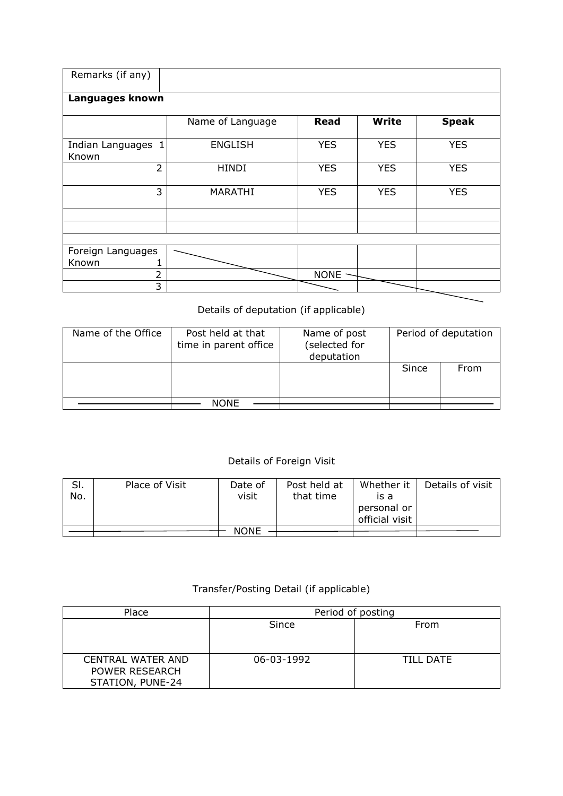| Remarks (if any)               |                  |             |              |              |
|--------------------------------|------------------|-------------|--------------|--------------|
| Languages known                |                  |             |              |              |
|                                | Name of Language | <b>Read</b> | <b>Write</b> | <b>Speak</b> |
| Indian Languages<br>1<br>Known | <b>ENGLISH</b>   | <b>YES</b>  | <b>YES</b>   | <b>YES</b>   |
| $\overline{2}$                 | <b>HINDI</b>     | <b>YES</b>  | <b>YES</b>   | <b>YES</b>   |
| 3                              | MARATHI          | <b>YES</b>  | <b>YES</b>   | <b>YES</b>   |
|                                |                  |             |              |              |
|                                |                  |             |              |              |
| Foreign Languages              |                  |             |              |              |
| Known                          |                  |             |              |              |
| 2                              |                  | NONE ·      |              |              |
| 3                              |                  |             |              |              |

## Details of deputation (if applicable)

| Name of the Office | Post held at that<br>time in parent office | Name of post<br>(selected for<br>deputation | Period of deputation |      |  |  |
|--------------------|--------------------------------------------|---------------------------------------------|----------------------|------|--|--|
|                    |                                            |                                             | Since                | From |  |  |
|                    | <b>NONE</b>                                |                                             |                      |      |  |  |

## Details of Foreign Visit

| SI.<br>No. | Place of Visit | Date of<br>visit | Post held at<br>that time | Whether it<br>is a<br>personal or<br>official visit | Details of visit |
|------------|----------------|------------------|---------------------------|-----------------------------------------------------|------------------|
|            |                | <b>NONE</b>      |                           |                                                     |                  |

## Transfer/Posting Detail (if applicable)

| Place                                                   | Period of posting |                  |  |  |  |  |  |
|---------------------------------------------------------|-------------------|------------------|--|--|--|--|--|
|                                                         | Since             | From             |  |  |  |  |  |
|                                                         |                   |                  |  |  |  |  |  |
| CENTRAL WATER AND<br>POWER RESEARCH<br>STATION, PUNE-24 | 06-03-1992        | <b>TILL DATE</b> |  |  |  |  |  |